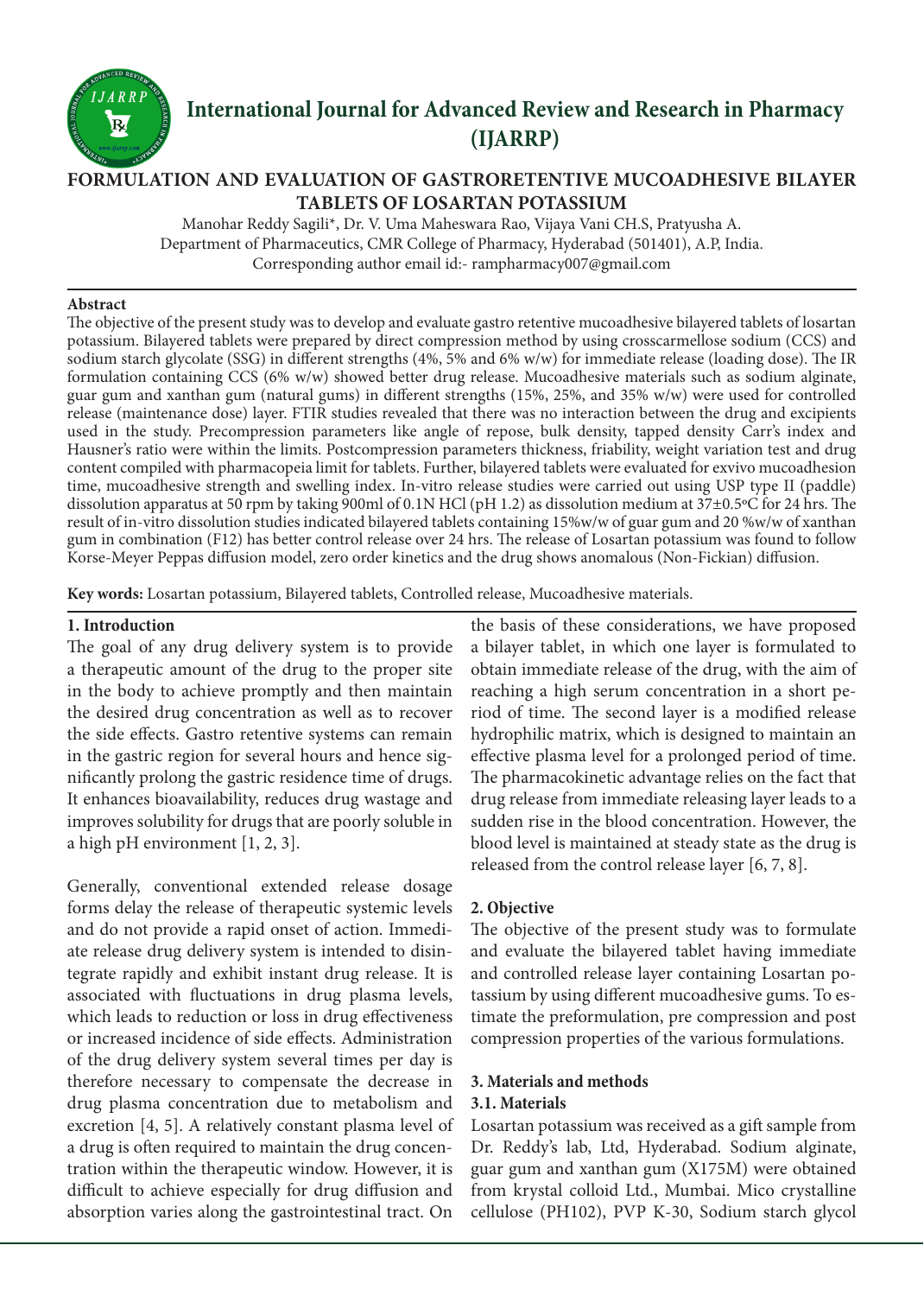

# **International Journal for Advanced Review and Research in Pharmacy (IJARRP)**

# **FORMULATION AND EVALUATION OF GASTRORETENTIVE MUCOADHESIVE BILAYER TABLETS OF LOSARTAN POTASSIUM**

Manohar Reddy Sagili\*, Dr. V. Uma Maheswara Rao, Vijaya Vani CH.S, Pratyusha A. Department of Pharmaceutics, CMR College of Pharmacy, Hyderabad (501401), A.P, India. Corresponding author email id:- rampharmacy007@gmail.com

#### **Abstract**

The objective of the present study was to develop and evaluate gastro retentive mucoadhesive bilayered tablets of losartan potassium. Bilayered tablets were prepared by direct compression method by using crosscarmellose sodium (CCS) and sodium starch glycolate (SSG) in different strengths (4%, 5% and 6% w/w) for immediate release (loading dose). The IR formulation containing CCS (6% w/w) showed better drug release. Mucoadhesive materials such as sodium alginate, guar gum and xanthan gum (natural gums) in different strengths (15%, 25%, and 35% w/w) were used for controlled release (maintenance dose) layer. FTIR studies revealed that there was no interaction between the drug and excipients used in the study. Precompression parameters like angle of repose, bulk density, tapped density Carr's index and Hausner's ratio were within the limits. Postcompression parameters thickness, friability, weight variation test and drug content compiled with pharmacopeia limit for tablets. Further, bilayered tablets were evaluated for exvivo mucoadhesion time, mucoadhesive strength and swelling index. In-vitro release studies were carried out using USP type II (paddle) dissolution apparatus at 50 rpm by taking 900ml of 0.1N HCl (pH 1.2) as dissolution medium at 37±0.5ºC for 24 hrs. The result of in-vitro dissolution studies indicated bilayered tablets containing 15%w/w of guar gum and 20 %w/w of xanthan gum in combination (F12) has better control release over 24 hrs. The release of Losartan potassium was found to follow Korse-Meyer Peppas diffusion model, zero order kinetics and the drug shows anomalous (Non-Fickian) diffusion.

**Key words:** Losartan potassium, Bilayered tablets, Controlled release, Mucoadhesive materials.

#### **1. Introduction**

The goal of any drug delivery system is to provide a therapeutic amount of the drug to the proper site in the body to achieve promptly and then maintain the desired drug concentration as well as to recover the side effects. Gastro retentive systems can remain in the gastric region for several hours and hence significantly prolong the gastric residence time of drugs. It enhances bioavailability, reduces drug wastage and improves solubility for drugs that are poorly soluble in a high pH environment [1, 2, 3].

Generally, conventional extended release dosage forms delay the release of therapeutic systemic levels and do not provide a rapid onset of action. Immediate release drug delivery system is intended to disintegrate rapidly and exhibit instant drug release. It is associated with fluctuations in drug plasma levels, which leads to reduction or loss in drug effectiveness or increased incidence of side effects. Administration of the drug delivery system several times per day is therefore necessary to compensate the decrease in drug plasma concentration due to metabolism and excretion [4, 5]. A relatively constant plasma level of a drug is often required to maintain the drug concentration within the therapeutic window. However, it is difficult to achieve especially for drug diffusion and absorption varies along the gastrointestinal tract. On

the basis of these considerations, we have proposed a bilayer tablet, in which one layer is formulated to obtain immediate release of the drug, with the aim of reaching a high serum concentration in a short period of time. The second layer is a modified release hydrophilic matrix, which is designed to maintain an effective plasma level for a prolonged period of time. The pharmacokinetic advantage relies on the fact that drug release from immediate releasing layer leads to a sudden rise in the blood concentration. However, the blood level is maintained at steady state as the drug is released from the control release layer [6, 7, 8].

#### **2. Objective**

The objective of the present study was to formulate and evaluate the bilayered tablet having immediate and controlled release layer containing Losartan potassium by using different mucoadhesive gums. To estimate the preformulation, pre compression and post compression properties of the various formulations.

#### **3. Materials and methods**

## **3.1. Materials**

Losartan potassium was received as a gift sample from Dr. Reddy's lab, Ltd, Hyderabad. Sodium alginate, guar gum and xanthan gum (X175M) were obtained from krystal colloid Ltd., Mumbai. Mico crystalline cellulose (PH102), PVP K-30, Sodium starch glycol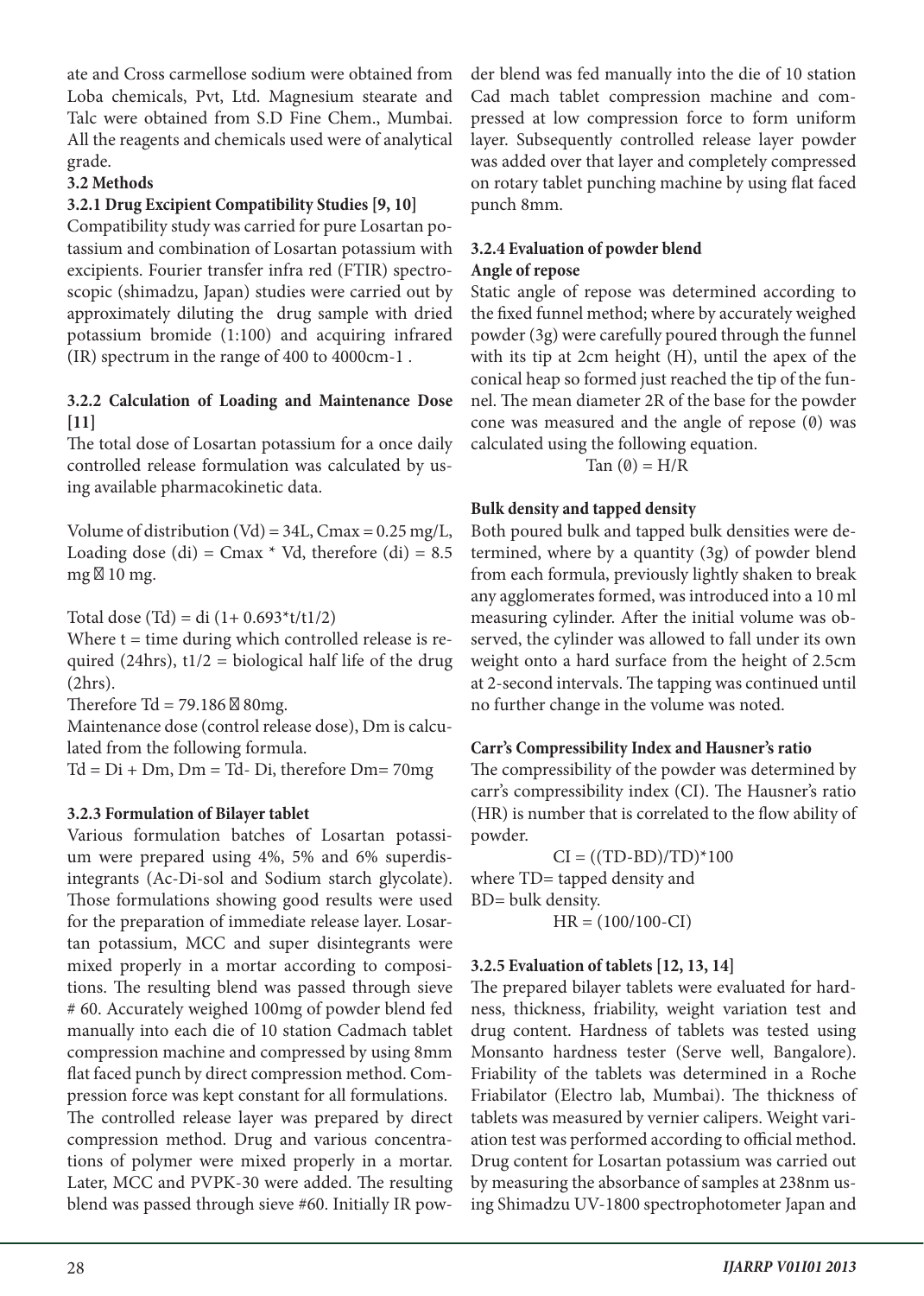ate and Cross carmellose sodium were obtained from Loba chemicals, Pvt, Ltd. Magnesium stearate and Talc were obtained from S.D Fine Chem., Mumbai. All the reagents and chemicals used were of analytical grade.

## **3.2 Methods**

#### **3.2.1 Drug Excipient Compatibility Studies [9, 10]**

Compatibility study was carried for pure Losartan potassium and combination of Losartan potassium with excipients. Fourier transfer infra red (FTIR) spectroscopic (shimadzu, Japan) studies were carried out by approximately diluting the drug sample with dried potassium bromide (1:100) and acquiring infrared (IR) spectrum in the range of 400 to 4000cm-1 .

## **3.2.2 Calculation of Loading and Maintenance Dose [11]**

The total dose of Losartan potassium for a once daily controlled release formulation was calculated by using available pharmacokinetic data.

Volume of distribution (Vd) =  $34L$ , Cmax = 0.25 mg/L, Loading dose (di) =  $Cmax * Vd$ , therefore (di) = 8.5 mg 10 mg.

Total dose (Td) = di  $(1+ 0.693*t/t1/2)$ 

Where  $t =$  time during which controlled release is required (24hrs),  $t1/2 = biological half life of the drug$ (2hrs).

Therefore Td =  $79.186$  80mg.

Maintenance dose (control release dose), Dm is calculated from the following formula.

 $Td = Di + Dm$ ,  $Dm = Td - Di$ , therefore  $Dm = 70mg$ 

## **3.2.3 Formulation of Bilayer tablet**

Various formulation batches of Losartan potassium were prepared using 4%, 5% and 6% superdisintegrants (Ac-Di-sol and Sodium starch glycolate). Those formulations showing good results were used for the preparation of immediate release layer. Losartan potassium, MCC and super disintegrants were mixed properly in a mortar according to compositions. The resulting blend was passed through sieve # 60. Accurately weighed 100mg of powder blend fed manually into each die of 10 station Cadmach tablet compression machine and compressed by using 8mm flat faced punch by direct compression method. Compression force was kept constant for all formulations. The controlled release layer was prepared by direct compression method. Drug and various concentrations of polymer were mixed properly in a mortar. Later, MCC and PVPK-30 were added. The resulting blend was passed through sieve #60. Initially IR powder blend was fed manually into the die of 10 station Cad mach tablet compression machine and compressed at low compression force to form uniform layer. Subsequently controlled release layer powder was added over that layer and completely compressed on rotary tablet punching machine by using flat faced punch 8mm.

## **3.2.4 Evaluation of powder blend Angle of repose**

Static angle of repose was determined according to the fixed funnel method; where by accurately weighed powder (3g) were carefully poured through the funnel with its tip at 2cm height (H), until the apex of the conical heap so formed just reached the tip of the funnel. The mean diameter 2R of the base for the powder cone was measured and the angle of repose (0) was calculated using the following equation.

Tan  $(0) = H/R$ 

## **Bulk density and tapped density**

Both poured bulk and tapped bulk densities were determined, where by a quantity (3g) of powder blend from each formula, previously lightly shaken to break any agglomerates formed, was introduced into a 10 ml measuring cylinder. After the initial volume was observed, the cylinder was allowed to fall under its own weight onto a hard surface from the height of 2.5cm at 2-second intervals. The tapping was continued until no further change in the volume was noted.

#### **Carr's Compressibility Index and Hausner's ratio**

The compressibility of the powder was determined by carr's compressibility index (CI). The Hausner's ratio (HR) is number that is correlated to the flow ability of powder.

 $CI = ((TD-BD)/TD)^*100$ where TD= tapped density and BD= bulk density. HR = (100/100-CI)

## **3.2.5 Evaluation of tablets [12, 13, 14]**

The prepared bilayer tablets were evaluated for hardness, thickness, friability, weight variation test and drug content. Hardness of tablets was tested using Monsanto hardness tester (Serve well, Bangalore). Friability of the tablets was determined in a Roche Friabilator (Electro lab, Mumbai). The thickness of tablets was measured by vernier calipers. Weight variation test was performed according to official method. Drug content for Losartan potassium was carried out by measuring the absorbance of samples at 238nm using Shimadzu UV-1800 spectrophotometer Japan and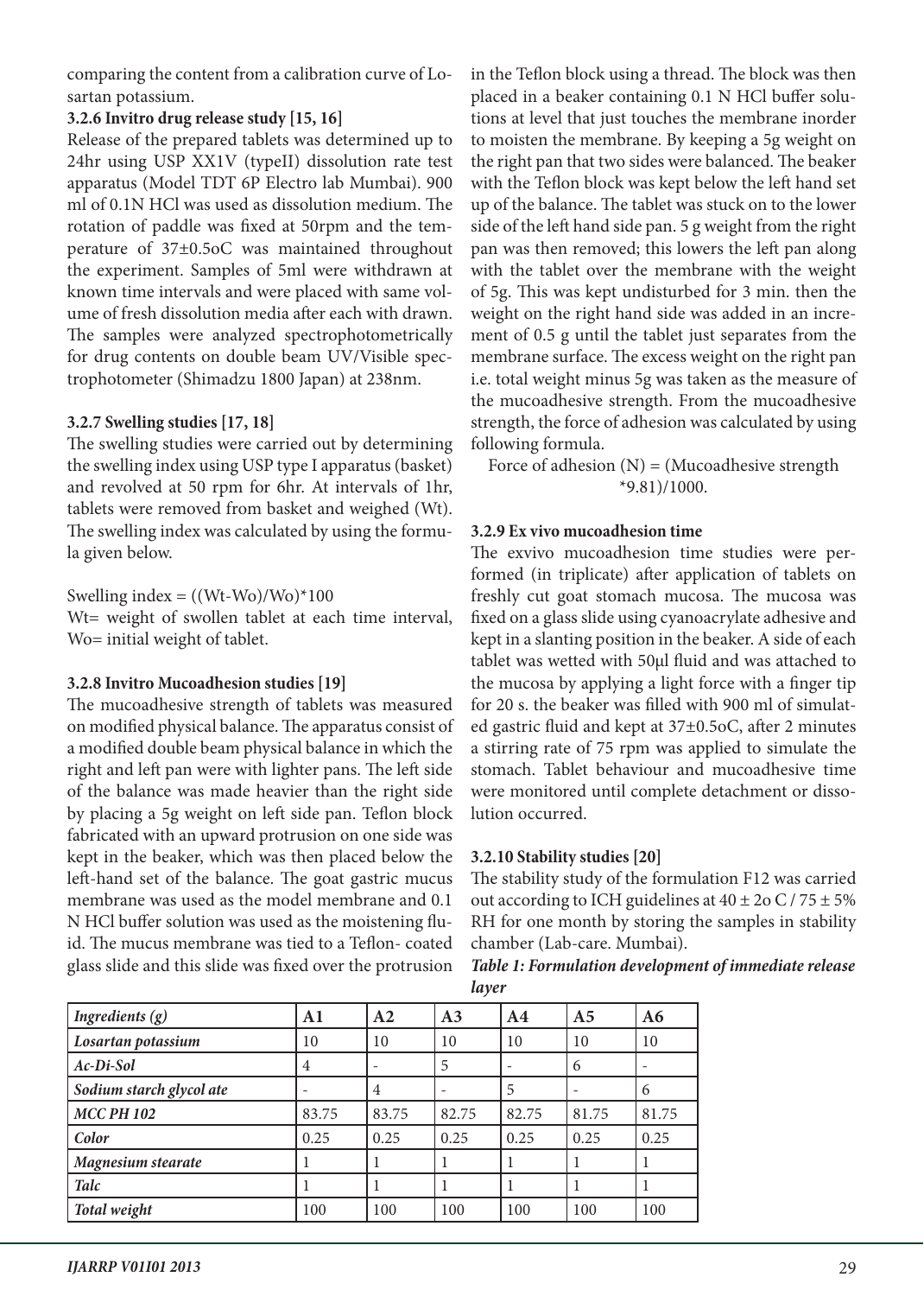comparing the content from a calibration curve of Losartan potassium.

## **3.2.6 Invitro drug release study [15, 16]**

Release of the prepared tablets was determined up to 24hr using USP XX1V (typeII) dissolution rate test apparatus (Model TDT 6P Electro lab Mumbai). 900 ml of 0.1N HCl was used as dissolution medium. The rotation of paddle was fixed at 50rpm and the temperature of 37±0.5oC was maintained throughout the experiment. Samples of 5ml were withdrawn at known time intervals and were placed with same volume of fresh dissolution media after each with drawn. The samples were analyzed spectrophotometrically for drug contents on double beam UV/Visible spectrophotometer (Shimadzu 1800 Japan) at 238nm.

## **3.2.7 Swelling studies [17, 18]**

The swelling studies were carried out by determining the swelling index using USP type I apparatus (basket) and revolved at 50 rpm for 6hr. At intervals of 1hr, tablets were removed from basket and weighed (Wt). The swelling index was calculated by using the formula given below.

Swelling index  $= ((Wt-Wo)/Wo)^*100$ 

Wt= weight of swollen tablet at each time interval, Wo= initial weight of tablet.

## **3.2.8 Invitro Mucoadhesion studies [19]**

The mucoadhesive strength of tablets was measured on modified physical balance. The apparatus consist of a modified double beam physical balance in which the right and left pan were with lighter pans. The left side of the balance was made heavier than the right side by placing a 5g weight on left side pan. Teflon block fabricated with an upward protrusion on one side was kept in the beaker, which was then placed below the left-hand set of the balance. The goat gastric mucus membrane was used as the model membrane and 0.1 N HCl buffer solution was used as the moistening fluid. The mucus membrane was tied to a Teflon- coated glass slide and this slide was fixed over the protrusion

in the Teflon block using a thread. The block was then placed in a beaker containing 0.1 N HCl buffer solutions at level that just touches the membrane inorder to moisten the membrane. By keeping a 5g weight on the right pan that two sides were balanced. The beaker with the Teflon block was kept below the left hand set up of the balance. The tablet was stuck on to the lower side of the left hand side pan. 5 g weight from the right pan was then removed; this lowers the left pan along with the tablet over the membrane with the weight of 5g. This was kept undisturbed for 3 min. then the weight on the right hand side was added in an increment of 0.5 g until the tablet just separates from the membrane surface. The excess weight on the right pan i.e. total weight minus 5g was taken as the measure of the mucoadhesive strength. From the mucoadhesive strength, the force of adhesion was calculated by using following formula.

Force of adhesion  $(N) = (Mucoadhesive strength)$ \*9.81)/1000.

## **3.2.9 Ex vivo mucoadhesion time**

The exvivo mucoadhesion time studies were performed (in triplicate) after application of tablets on freshly cut goat stomach mucosa. The mucosa was fixed on a glass slide using cyanoacrylate adhesive and kept in a slanting position in the beaker. A side of each tablet was wetted with 50μl fluid and was attached to the mucosa by applying a light force with a finger tip for 20 s. the beaker was filled with 900 ml of simulated gastric fluid and kept at 37±0.5oC, after 2 minutes a stirring rate of 75 rpm was applied to simulate the stomach. Tablet behaviour and mucoadhesive time were monitored until complete detachment or dissolution occurred.

## **3.2.10 Stability studies [20]**

The stability study of the formulation F12 was carried out according to ICH guidelines at  $40 \pm 2$ o C / 75  $\pm$  5% RH for one month by storing the samples in stability chamber (Lab-care. Mumbai).

*Table 1: Formulation development of immediate release layer*

| Ingredients $(g)$        | $\mathbf{A1}$ | A <sub>2</sub> | A <sub>3</sub> | A <sub>4</sub> | A <sub>5</sub> | A6    |
|--------------------------|---------------|----------------|----------------|----------------|----------------|-------|
| Losartan potassium       | 10            | 10             | 10             | 10             | 10             | 10    |
| Ac-Di-Sol                | 4             |                | 5              |                | 6              |       |
| Sodium starch glycol ate |               | $\overline{4}$ |                | 5              |                | 6     |
| <b>MCC PH 102</b>        | 83.75         | 83.75          | 82.75          | 82.75          | 81.75          | 81.75 |
| Color                    | 0.25          | 0.25           | 0.25           | 0.25           | 0.25           | 0.25  |
| Magnesium stearate       |               |                |                |                |                |       |
| <b>Talc</b>              |               |                |                |                |                |       |
| Total weight             | 100           | 100            | 100            | 100            | 100            | 100   |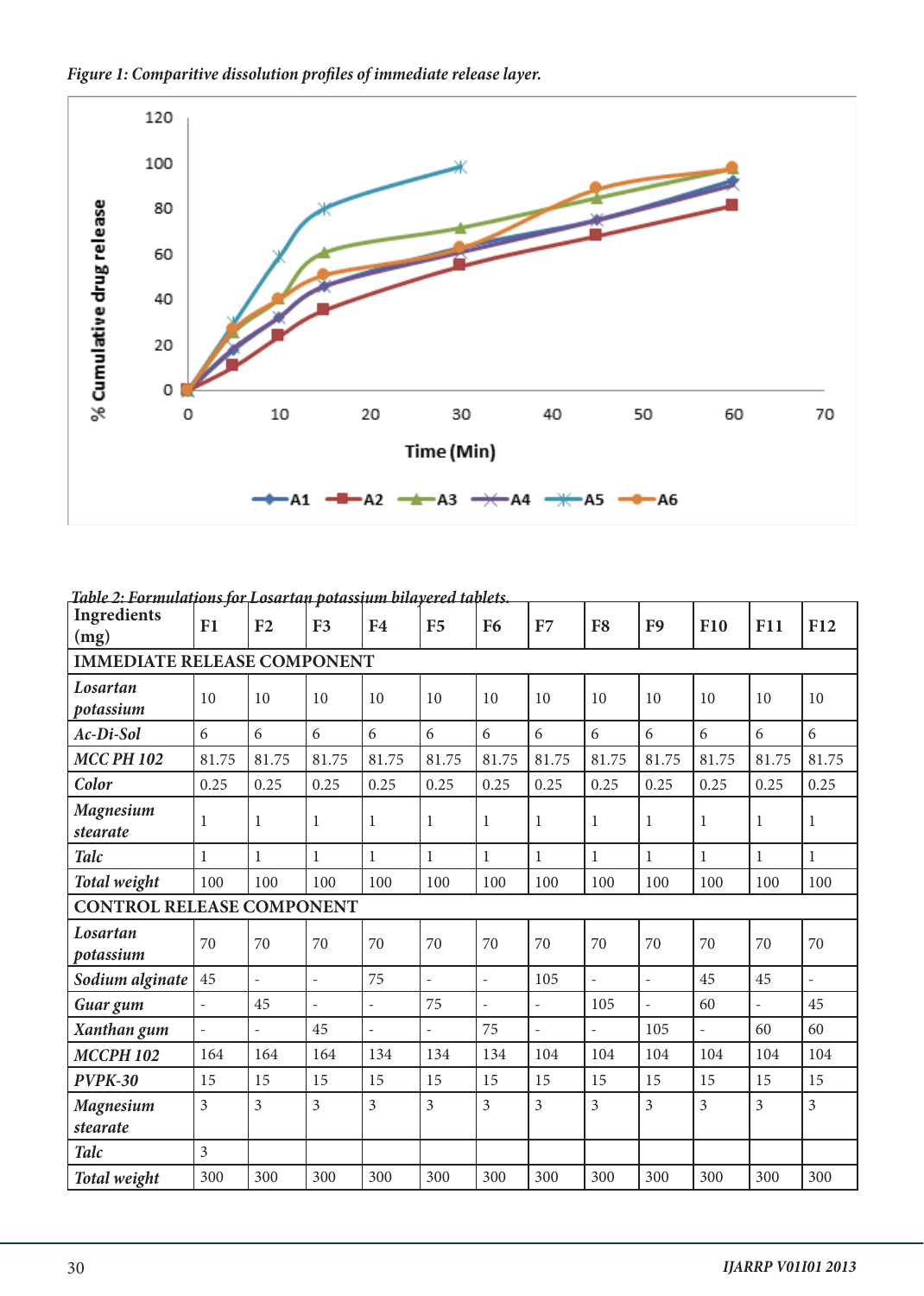



| <u> 1401е 2: Formulaipons for Losarian polassium ouayerea lapiels</u><br>Ingredients | F1                       | F <sub>2</sub>           | F <sub>3</sub> | F <sub>4</sub>           | F <sub>5</sub> | F <sub>6</sub>           | F7                       | F <sub>8</sub>           | F <sub>9</sub>           | <b>F10</b>     | <b>F11</b>     | F12                      |
|--------------------------------------------------------------------------------------|--------------------------|--------------------------|----------------|--------------------------|----------------|--------------------------|--------------------------|--------------------------|--------------------------|----------------|----------------|--------------------------|
| (mg)                                                                                 |                          |                          |                |                          |                |                          |                          |                          |                          |                |                |                          |
| <b>IMMEDIATE RELEASE COMPONENT</b>                                                   |                          |                          |                |                          |                |                          |                          |                          |                          |                |                |                          |
| Losartan<br>potassium                                                                | 10                       | 10                       | 10             | 10                       | 10             | 10                       | 10                       | 10                       | 10                       | 10             | 10             | 10                       |
| Ac-Di-Sol                                                                            | 6                        | 6                        | 6              | 6                        | 6              | 6                        | 6                        | 6                        | 6                        | 6              | 6              | 6                        |
| <b>MCC PH 102</b>                                                                    | 81.75                    | 81.75                    | 81.75          | 81.75                    | 81.75          | 81.75                    | 81.75                    | 81.75                    | 81.75                    | 81.75          | 81.75          | 81.75                    |
| Color                                                                                | 0.25                     | 0.25                     | 0.25           | 0.25                     | 0.25           | 0.25                     | 0.25                     | 0.25                     | 0.25                     | 0.25           | 0.25           | 0.25                     |
| <b>Magnesium</b><br>stearate                                                         | $\mathbf{1}$             | $\mathbf{1}$             | $\mathbf{1}$   | 1                        | 1              | $\mathbf{1}$             | $\mathbf{1}$             | $\mathbf 1$              | 1                        | 1              | 1              | 1                        |
| <b>Talc</b>                                                                          | $\mathbf{1}$             | $\mathbf{1}$             | $\mathbf{1}$   | $\mathbf{1}$             | 1              | $\mathbf{1}$             | $\mathbf{1}$             | $\mathbf{1}$             | $\mathbf{1}$             | $\mathbf{1}$   | 1              | 1                        |
| Total weight                                                                         | 100                      | 100                      | 100            | 100                      | 100            | 100                      | 100                      | 100                      | 100                      | 100            | 100            | 100                      |
| <b>CONTROL RELEASE COMPONENT</b>                                                     |                          |                          |                |                          |                |                          |                          |                          |                          |                |                |                          |
| Losartan<br>potassium                                                                | 70                       | 70                       | 70             | 70                       | 70             | 70                       | 70                       | 70                       | 70                       | 70             | 70             | 70                       |
| Sodium alginate                                                                      | 45                       | $\frac{1}{2}$            | $\overline{a}$ | 75                       | $\overline{a}$ | $\overline{\phantom{a}}$ | 105                      | $\overline{\phantom{0}}$ | $\overline{\phantom{a}}$ | 45             | 45             | $\overline{\phantom{0}}$ |
| Guar gum                                                                             | $\overline{\phantom{a}}$ | 45                       |                | $\bar{ }$                | 75             | $\overline{a}$           | $\overline{\phantom{0}}$ | 105                      |                          | 60             |                | 45                       |
| Xanthan gum                                                                          | $\overline{\phantom{a}}$ | $\overline{\phantom{a}}$ | 45             | $\overline{\phantom{0}}$ | $\overline{a}$ | 75                       | $\overline{\phantom{0}}$ | $\frac{1}{2}$            | 105                      | $\overline{a}$ | 60             | 60                       |
| <b>МССРН 102</b>                                                                     | 164                      | 164                      | 164            | 134                      | 134            | 134                      | 104                      | 104                      | 104                      | 104            | 104            | 104                      |
| <b>PVPK-30</b>                                                                       | 15                       | 15                       | 15             | 15                       | 15             | 15                       | 15                       | 15                       | 15                       | 15             | 15             | 15                       |
| <b>Magnesium</b>                                                                     | $\overline{3}$           | $\overline{3}$           | $\overline{3}$ | $\overline{3}$           | 3              | $\overline{3}$           | $\overline{3}$           | $\overline{3}$           | $\overline{3}$           | $\overline{3}$ | $\overline{3}$ | $\overline{3}$           |
| stearate                                                                             |                          |                          |                |                          |                |                          |                          |                          |                          |                |                |                          |
| <b>Talc</b>                                                                          | $\overline{3}$           |                          |                |                          |                |                          |                          |                          |                          |                |                |                          |
| Total weight                                                                         | 300                      | 300                      | 300            | 300                      | 300            | 300                      | 300                      | 300                      | 300                      | 300            | 300            | 300                      |

 *Table 2: Formulations for Losartan potassium bilayered tablets.*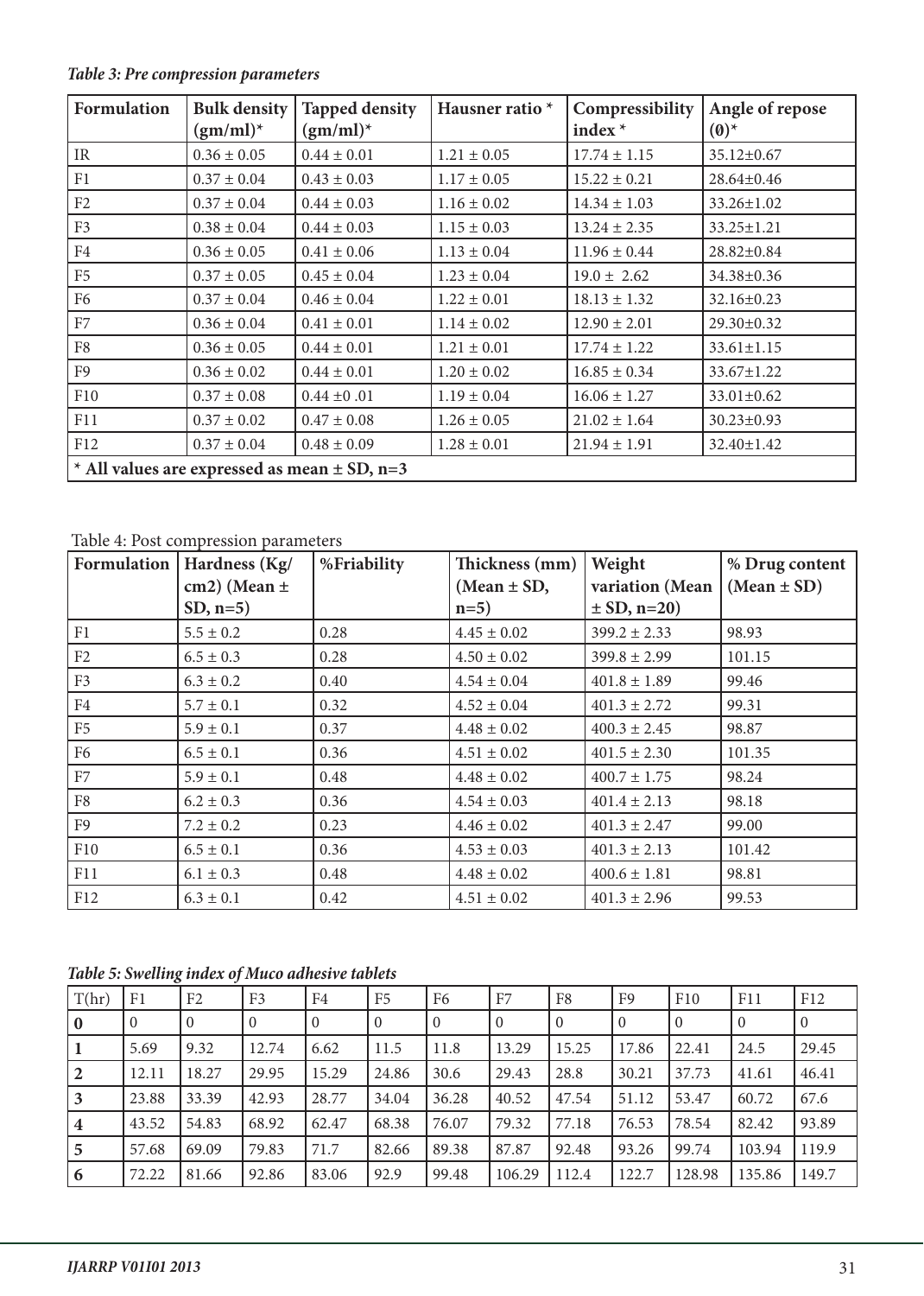| <b>Formulation</b>                                 | <b>Bulk density</b><br>$(gm/ml)^*$ | <b>Tapped density</b><br>$(gm/ml)^*$ | Hausner ratio <sup>*</sup> | Compressibility<br>index $*$ | Angle of repose<br>$(0)^*$ |  |  |  |
|----------------------------------------------------|------------------------------------|--------------------------------------|----------------------------|------------------------------|----------------------------|--|--|--|
| <b>IR</b>                                          | $0.36 \pm 0.05$                    | $0.44 \pm 0.01$                      | $1.21 \pm 0.05$            | $17.74 \pm 1.15$             | 35.12±0.67                 |  |  |  |
| F1                                                 | $0.37 \pm 0.04$                    | $0.43 \pm 0.03$                      | $1.17 \pm 0.05$            | $15.22 \pm 0.21$             | 28.64±0.46                 |  |  |  |
| F2                                                 | $0.37 \pm 0.04$                    | $0.44 \pm 0.03$                      | $1.16 \pm 0.02$            | $14.34 \pm 1.03$             | $33.26 \pm 1.02$           |  |  |  |
| F <sub>3</sub>                                     | $0.38 \pm 0.04$                    | $0.44 \pm 0.03$                      | $1.15 \pm 0.03$            | $13.24 \pm 2.35$             | $33.25 \pm 1.21$           |  |  |  |
| F4                                                 | $0.36 \pm 0.05$                    | $0.41 \pm 0.06$                      | $1.13 \pm 0.04$            | $11.96 \pm 0.44$             | 28.82±0.84                 |  |  |  |
| F <sub>5</sub>                                     | $0.37 \pm 0.05$                    | $0.45 \pm 0.04$                      | $1.23 \pm 0.04$            | $19.0 \pm 2.62$              | 34.38±0.36                 |  |  |  |
| F <sub>6</sub>                                     | $0.37 \pm 0.04$                    | $0.46 \pm 0.04$                      | $1.22 \pm 0.01$            | $18.13 \pm 1.32$             | $32.16 \pm 0.23$           |  |  |  |
| F7                                                 | $0.36 \pm 0.04$                    | $0.41 \pm 0.01$                      | $1.14 \pm 0.02$            | $12.90 \pm 2.01$             | 29.30±0.32                 |  |  |  |
| F8                                                 | $0.36 \pm 0.05$                    | $0.44 \pm 0.01$                      | $1.21 \pm 0.01$            | $17.74 \pm 1.22$             | $33.61 \pm 1.15$           |  |  |  |
| F <sub>9</sub>                                     | $0.36 \pm 0.02$                    | $0.44 \pm 0.01$                      | $1.20 \pm 0.02$            | $16.85 \pm 0.34$             | $33.67 \pm 1.22$           |  |  |  |
| F10                                                | $0.37 \pm 0.08$                    | $0.44 \pm 0.01$                      | $1.19 \pm 0.04$            | $16.06 \pm 1.27$             | $33.01 \pm 0.62$           |  |  |  |
| F11                                                | $0.37 \pm 0.02$                    | $0.47 \pm 0.08$                      | $1.26 \pm 0.05$            | $21.02 \pm 1.64$             | $30.23 \pm 0.93$           |  |  |  |
| F12                                                | $0.37 \pm 0.04$                    | $0.48 \pm 0.09$                      | $1.28 \pm 0.01$            | $21.94 \pm 1.91$             | 32.40±1.42                 |  |  |  |
| $*$ All values are expressed as mean $\pm$ SD, n=3 |                                    |                                      |                            |                              |                            |  |  |  |

*Table 3: Pre compression parameters*

# Table 4: Post compression parameters

| Formulation    | Hardness (Kg/    | %Friability | Thickness (mm)  | Weight           | % Drug content  |
|----------------|------------------|-------------|-----------------|------------------|-----------------|
|                | cm2) (Mean $\pm$ |             | (Mean $\pm$ SD, | variation (Mean  | $(Mean \pm SD)$ |
|                | $SD, n=5)$       |             | $n=5$           | $\pm$ SD, n=20)  |                 |
| F1             | $5.5 \pm 0.2$    | 0.28        | $4.45 \pm 0.02$ | $399.2 \pm 2.33$ | 98.93           |
| F2             | $6.5 \pm 0.3$    | 0.28        | $4.50 \pm 0.02$ | $399.8 \pm 2.99$ | 101.15          |
| F <sub>3</sub> | $6.3 \pm 0.2$    | 0.40        | $4.54 \pm 0.04$ | $401.8 \pm 1.89$ | 99.46           |
| F4             | $5.7 \pm 0.1$    | 0.32        | $4.52 \pm 0.04$ | $401.3 \pm 2.72$ | 99.31           |
| F <sub>5</sub> | $5.9 \pm 0.1$    | 0.37        | $4.48 \pm 0.02$ | $400.3 \pm 2.45$ | 98.87           |
| F <sub>6</sub> | $6.5 \pm 0.1$    | 0.36        | $4.51 \pm 0.02$ | $401.5 \pm 2.30$ | 101.35          |
| F7             | $5.9 \pm 0.1$    | 0.48        | $4.48 \pm 0.02$ | $400.7 \pm 1.75$ | 98.24           |
| F8             | $6.2 \pm 0.3$    | 0.36        | $4.54 \pm 0.03$ | $401.4 \pm 2.13$ | 98.18           |
| F <sub>9</sub> | $7.2 \pm 0.2$    | 0.23        | $4.46 \pm 0.02$ | $401.3 \pm 2.47$ | 99.00           |
| F10            | $6.5 \pm 0.1$    | 0.36        | $4.53 \pm 0.03$ | $401.3 \pm 2.13$ | 101.42          |
| F11            | $6.1 \pm 0.3$    | 0.48        | $4.48 \pm 0.02$ | $400.6 \pm 1.81$ | 98.81           |
| F12            | $6.3 \pm 0.1$    | 0.42        | $4.51 \pm 0.02$ | $401.3 \pm 2.96$ | 99.53           |

# *Table 5: Swelling index of Muco adhesive tablets*

| T(hr)           | F <sub>1</sub> | F <sub>2</sub> | F <sub>3</sub> | F4    | F <sub>5</sub> | F <sub>6</sub> | F7     | F8       | F9             | F10            | F11            | F12            |
|-----------------|----------------|----------------|----------------|-------|----------------|----------------|--------|----------|----------------|----------------|----------------|----------------|
| $\overline{0}$  | $\overline{0}$ | $\Omega$       | $\Omega$       |       | $\theta$       | $\Omega$       | 0      | $\theta$ | $\overline{0}$ | $\overline{0}$ | $\overline{0}$ | $\overline{0}$ |
|                 | 5.69           | 9.32           | 12.74          | 6.62  | 11.5           | 11.8           | 13.29  | 15.25    | 17.86          | 22.41          | 24.5           | 29.45          |
| $\vert 2 \vert$ | 12.11          | 18.27          | 29.95          | 15.29 | 24.86          | 30.6           | 29.43  | 28.8     | 30.21          | 37.73          | 41.61          | 46.41          |
| $\vert 3 \vert$ | 23.88          | 33.39          | 42.93          | 28.77 | 34.04          | 36.28          | 40.52  | 47.54    | 51.12          | 53.47          | 60.72          | 67.6           |
| $\vert$ 4       | 43.52          | 54.83          | 68.92          | 62.47 | 68.38          | 76.07          | 79.32  | 77.18    | 76.53          | 78.54          | 82.42          | 93.89          |
| $\overline{5}$  | 57.68          | 69.09          | 79.83          | 71.7  | 82.66          | 89.38          | 87.87  | 92.48    | 93.26          | 99.74          | 103.94         | 119.9          |
| $\vert 6 \vert$ | 72.22          | 81.66          | 92.86          | 83.06 | 92.9           | 99.48          | 106.29 | 112.4    | 122.7          | 128.98         | 135.86         | 149.7          |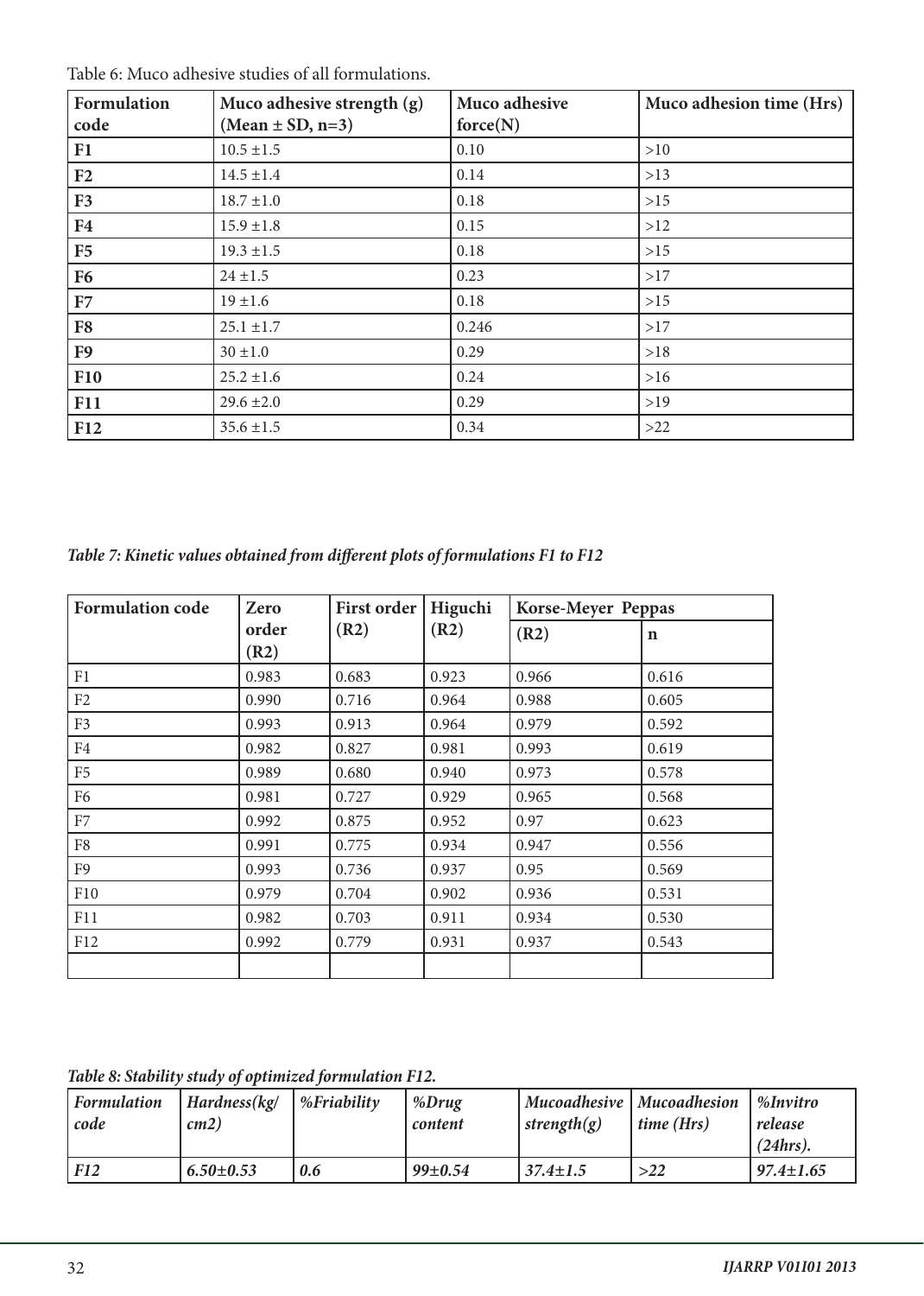| Formulation<br>code | Muco adhesive strength (g)<br>$(Mean \pm SD, n=3)$ | Muco adhesive<br>force(N) | Muco adhesion time (Hrs) |
|---------------------|----------------------------------------------------|---------------------------|--------------------------|
| F1                  | $10.5 \pm 1.5$                                     | 0.10                      | >10                      |
| F2                  | $14.5 \pm 1.4$                                     | 0.14                      | >13                      |
| F3                  | $18.7 \pm 1.0$                                     | 0.18                      | >15                      |
| F <sub>4</sub>      | $15.9 \pm 1.8$                                     | 0.15                      | >12                      |
| F5                  | $19.3 \pm 1.5$                                     | 0.18                      | >15                      |
| <b>F6</b>           | $24 \pm 1.5$                                       | 0.23                      | >17                      |
| F7                  | $19 \pm 1.6$                                       | 0.18                      | $>15$                    |
| F <sub>8</sub>      | $25.1 \pm 1.7$                                     | 0.246                     | >17                      |
| F <sub>9</sub>      | $30 \pm 1.0$                                       | 0.29                      | $>18$                    |
| <b>F10</b>          | $25.2 \pm 1.6$                                     | 0.24                      | $>16$                    |
| <b>F11</b>          | $29.6 \pm 2.0$                                     | 0.29                      | >19                      |
| <b>F12</b>          | $35.6 \pm 1.5$                                     | 0.34                      | >22                      |

*Table 7: Kinetic values obtained from different plots of formulations F1 to F12*

| <b>Formulation code</b> | Zero          | <b>First order</b> | Higuchi | Korse-Meyer Peppas |             |  |
|-------------------------|---------------|--------------------|---------|--------------------|-------------|--|
|                         | order<br>(R2) | (R2)               | (R2)    | (R2)               | $\mathbf n$ |  |
| F1                      | 0.983         | 0.683              | 0.923   | 0.966              | 0.616       |  |
| F2                      | 0.990         | 0.716              | 0.964   | 0.988              | 0.605       |  |
| F <sub>3</sub>          | 0.993         | 0.913              | 0.964   | 0.979              | 0.592       |  |
| F <sub>4</sub>          | 0.982         | 0.827              | 0.981   | 0.993              | 0.619       |  |
| F <sub>5</sub>          | 0.989         | 0.680              | 0.940   | 0.973              | 0.578       |  |
| F <sub>6</sub>          | 0.981         | 0.727              | 0.929   | 0.965              | 0.568       |  |
| ${\rm F}7$              | 0.992         | 0.875              | 0.952   | 0.97               | 0.623       |  |
| F8                      | 0.991         | 0.775              | 0.934   | 0.947              | 0.556       |  |
| F <sub>9</sub>          | 0.993         | 0.736              | 0.937   | 0.95               | 0.569       |  |
| F10                     | 0.979         | 0.704              | 0.902   | 0.936              | 0.531       |  |
| F11                     | 0.982         | 0.703              | 0.911   | 0.934              | 0.530       |  |
| F12                     | 0.992         | 0.779              | 0.931   | 0.937              | 0.543       |  |
|                         |               |                    |         |                    |             |  |

*Table 8: Stability study of optimized formulation F12.* 

| <b>Formulation</b><br>code | Hardness(kg/<br>cm2) | $%$ <i>Friability</i> | %Drug<br>content | strength $(g)$ | Mucoadhesive   Mucoadhesion<br>$\vert$ time (Hrs) | %Invitro<br>release<br>(24 hrs). |
|----------------------------|----------------------|-----------------------|------------------|----------------|---------------------------------------------------|----------------------------------|
| <b>F12</b>                 | $6.50 \pm 0.53$      | 0.6                   | $99 \pm 0.54$    | $37.4 \pm 1.5$ | >22                                               | $97.4 \pm 1.65$                  |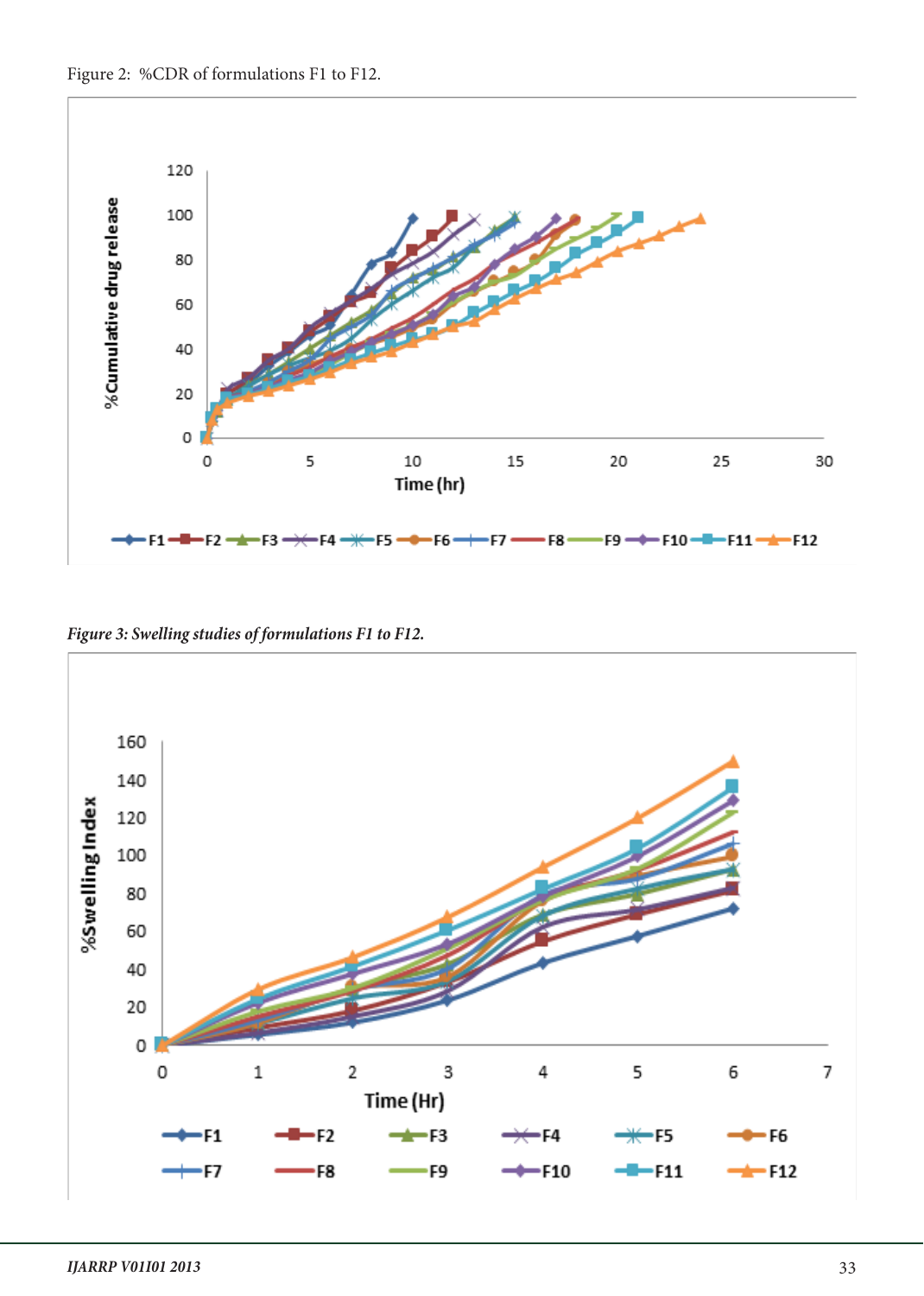



*Figure 3: Swelling studies of formulations F1 to F12.*

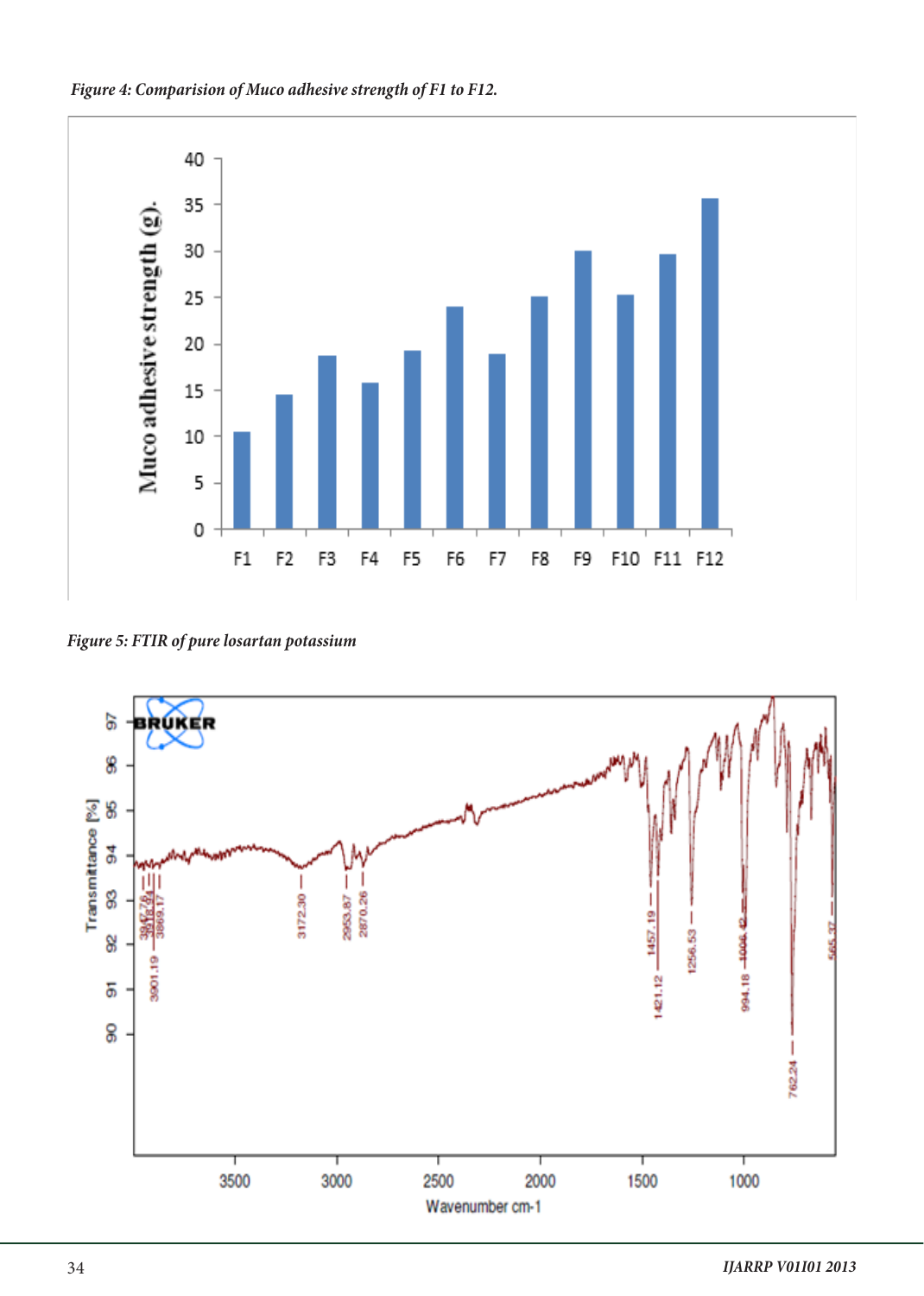



*Figure 5: FTIR of pure losartan potassium*

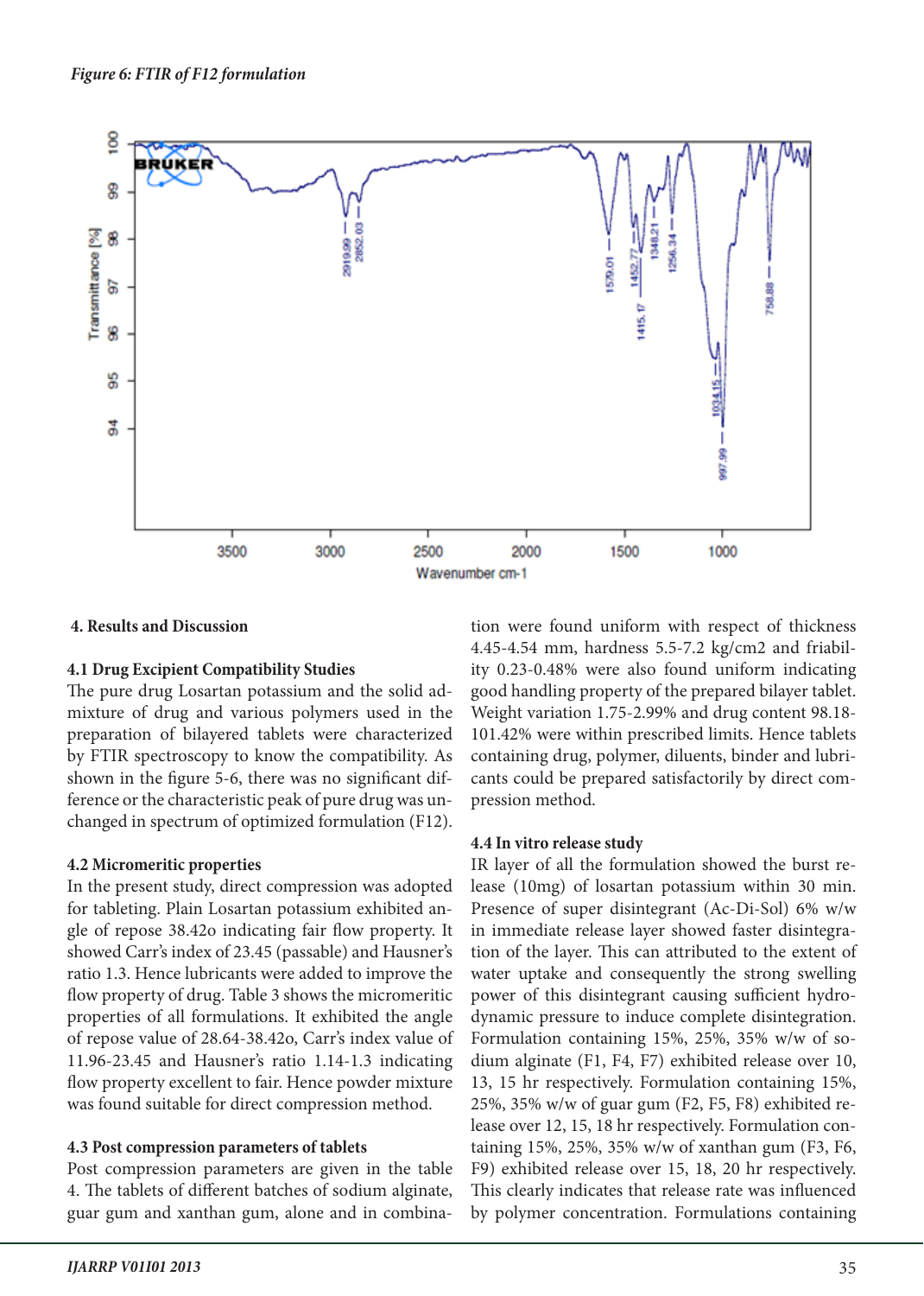

## **4. Results and Discussion**

#### **4.1 Drug Excipient Compatibility Studies**

The pure drug Losartan potassium and the solid admixture of drug and various polymers used in the preparation of bilayered tablets were characterized by FTIR spectroscopy to know the compatibility. As shown in the figure 5-6, there was no significant difference or the characteristic peak of pure drug was unchanged in spectrum of optimized formulation (F12).

#### **4.2 Micromeritic properties**

In the present study, direct compression was adopted for tableting. Plain Losartan potassium exhibited angle of repose 38.42o indicating fair flow property. It showed Carr's index of 23.45 (passable) and Hausner's ratio 1.3. Hence lubricants were added to improve the flow property of drug. Table 3 shows the micromeritic properties of all formulations. It exhibited the angle of repose value of 28.64-38.42o, Carr's index value of 11.96-23.45 and Hausner's ratio 1.14-1.3 indicating flow property excellent to fair. Hence powder mixture was found suitable for direct compression method.

## **4.3 Post compression parameters of tablets**

Post compression parameters are given in the table 4. The tablets of different batches of sodium alginate, guar gum and xanthan gum, alone and in combination were found uniform with respect of thickness 4.45-4.54 mm, hardness 5.5-7.2 kg/cm2 and friability 0.23-0.48% were also found uniform indicating good handling property of the prepared bilayer tablet. Weight variation 1.75-2.99% and drug content 98.18- 101.42% were within prescribed limits. Hence tablets containing drug, polymer, diluents, binder and lubricants could be prepared satisfactorily by direct compression method.

#### **4.4 In vitro release study**

IR layer of all the formulation showed the burst release (10mg) of losartan potassium within 30 min. Presence of super disintegrant (Ac-Di-Sol) 6% w/w in immediate release layer showed faster disintegration of the layer. This can attributed to the extent of water uptake and consequently the strong swelling power of this disintegrant causing sufficient hydrodynamic pressure to induce complete disintegration. Formulation containing 15%, 25%, 35% w/w of sodium alginate (F1, F4, F7) exhibited release over 10, 13, 15 hr respectively. Formulation containing 15%, 25%, 35% w/w of guar gum (F2, F5, F8) exhibited release over 12, 15, 18 hr respectively. Formulation containing 15%, 25%, 35% w/w of xanthan gum (F3, F6, F9) exhibited release over 15, 18, 20 hr respectively. This clearly indicates that release rate was influenced by polymer concentration. Formulations containing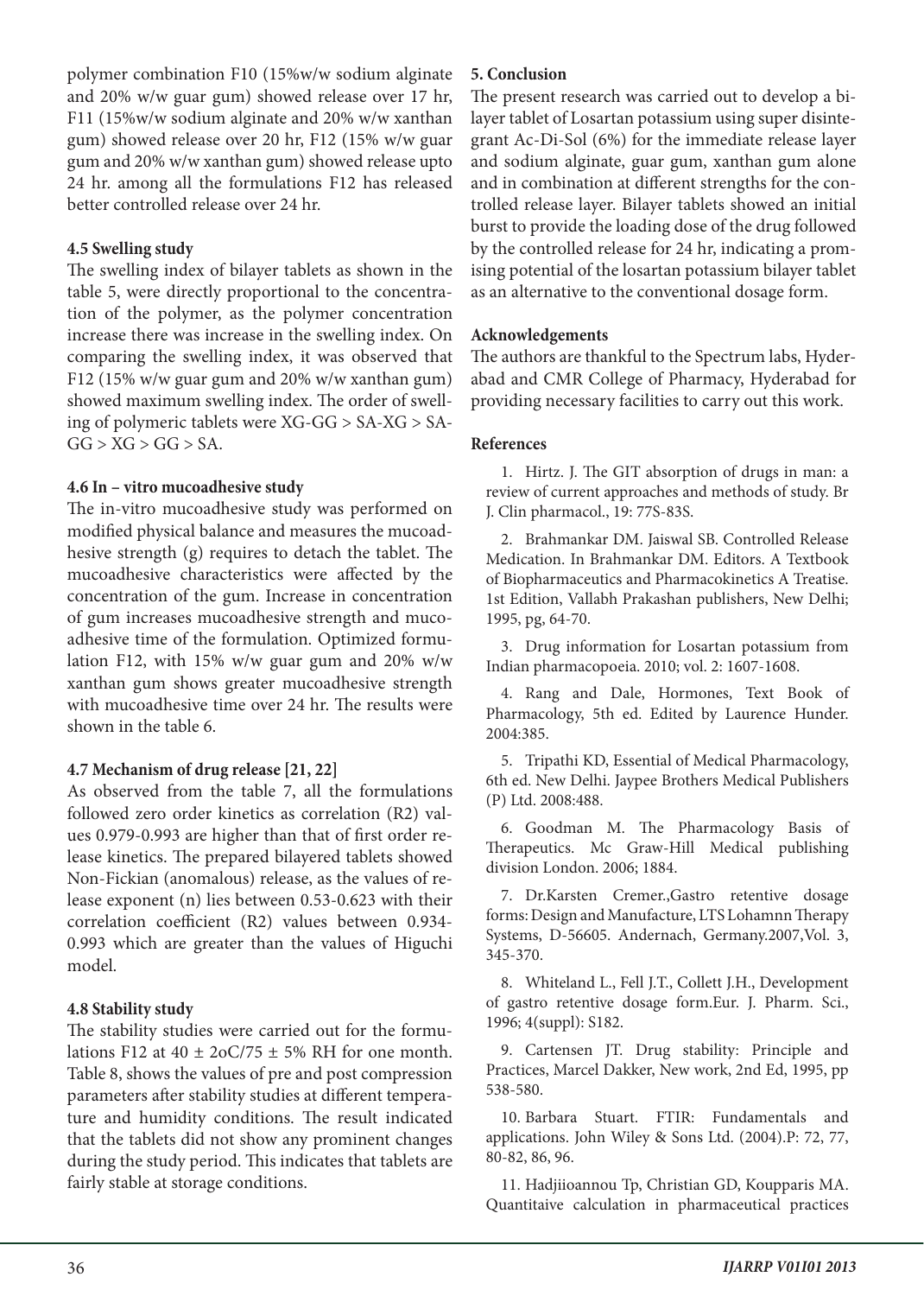polymer combination F10 (15%w/w sodium alginate and 20% w/w guar gum) showed release over 17 hr, F11 (15%w/w sodium alginate and 20% w/w xanthan gum) showed release over 20 hr, F12 (15% w/w guar gum and 20% w/w xanthan gum) showed release upto 24 hr. among all the formulations F12 has released better controlled release over 24 hr.

## **4.5 Swelling study**

The swelling index of bilayer tablets as shown in the table 5, were directly proportional to the concentration of the polymer, as the polymer concentration increase there was increase in the swelling index. On comparing the swelling index, it was observed that F12 (15% w/w guar gum and 20% w/w xanthan gum) showed maximum swelling index. The order of swelling of polymeric tablets were XG-GG > SA-XG > SA- $GG > XG > GG > SA$ .

## **4.6 In – vitro mucoadhesive study**

The in-vitro mucoadhesive study was performed on modified physical balance and measures the mucoadhesive strength (g) requires to detach the tablet. The mucoadhesive characteristics were affected by the concentration of the gum. Increase in concentration of gum increases mucoadhesive strength and mucoadhesive time of the formulation. Optimized formulation F12, with 15% w/w guar gum and 20% w/w xanthan gum shows greater mucoadhesive strength with mucoadhesive time over 24 hr. The results were shown in the table 6.

## **4.7 Mechanism of drug release [21, 22]**

As observed from the table 7, all the formulations followed zero order kinetics as correlation (R2) values 0.979-0.993 are higher than that of first order release kinetics. The prepared bilayered tablets showed Non-Fickian (anomalous) release, as the values of release exponent (n) lies between 0.53-0.623 with their correlation coefficient (R2) values between 0.934- 0.993 which are greater than the values of Higuchi model.

## **4.8 Stability study**

The stability studies were carried out for the formulations F12 at  $40 \pm 20C/75 \pm 5\%$  RH for one month. Table 8, shows the values of pre and post compression parameters after stability studies at different temperature and humidity conditions. The result indicated that the tablets did not show any prominent changes during the study period. This indicates that tablets are fairly stable at storage conditions.

#### **5. Conclusion**

The present research was carried out to develop a bilayer tablet of Losartan potassium using super disintegrant Ac-Di-Sol (6%) for the immediate release layer and sodium alginate, guar gum, xanthan gum alone and in combination at different strengths for the controlled release layer. Bilayer tablets showed an initial burst to provide the loading dose of the drug followed by the controlled release for 24 hr, indicating a promising potential of the losartan potassium bilayer tablet as an alternative to the conventional dosage form.

## **Acknowledgements**

The authors are thankful to the Spectrum labs, Hyderabad and CMR College of Pharmacy, Hyderabad for providing necessary facilities to carry out this work.

## **References**

1. Hirtz. J. The GIT absorption of drugs in man: a review of current approaches and methods of study. Br J. Clin pharmacol., 19: 77S-83S.

2. Brahmankar DM. Jaiswal SB. Controlled Release Medication. In Brahmankar DM. Editors. A Textbook of Biopharmaceutics and Pharmacokinetics A Treatise. 1st Edition, Vallabh Prakashan publishers, New Delhi; 1995, pg, 64-70.

3. Drug information for Losartan potassium from Indian pharmacopoeia. 2010; vol. 2: 1607-1608.

4. Rang and Dale, Hormones, Text Book of Pharmacology, 5th ed. Edited by Laurence Hunder. 2004:385.

5. Tripathi KD, Essential of Medical Pharmacology, 6th ed. New Delhi. Jaypee Brothers Medical Publishers (P) Ltd. 2008:488.

6. Goodman M. The Pharmacology Basis of Therapeutics. Mc Graw-Hill Medical publishing division London. 2006; 1884.

7. Dr.Karsten Cremer.,Gastro retentive dosage forms: Design and Manufacture, LTS Lohamnn Therapy Systems, D-56605. Andernach, Germany.2007,Vol. 3, 345-370.

8. Whiteland L., Fell J.T., Collett J.H., Development of gastro retentive dosage form.Eur. J. Pharm. Sci., 1996; 4(suppl): S182.

9. Cartensen JT. Drug stability: Principle and Practices, Marcel Dakker, New work, 2nd Ed, 1995, pp 538-580.

10. Barbara Stuart. FTIR: Fundamentals and applications. John Wiley & Sons Ltd. (2004).P: 72, 77, 80-82, 86, 96.

11. Hadjiioannou Tp, Christian GD, Koupparis MA. Quantitaive calculation in pharmaceutical practices